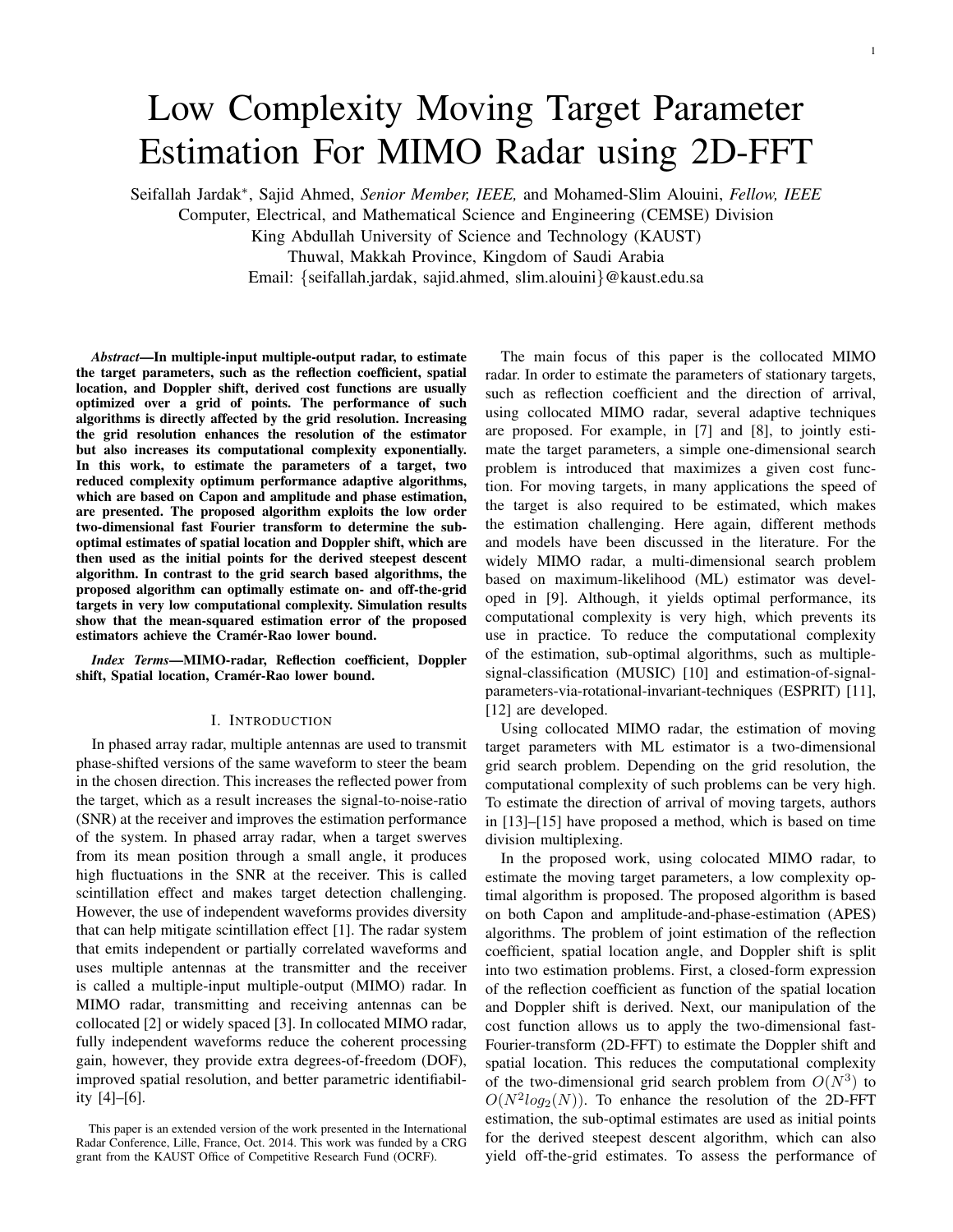# Low Complexity Moving Target Parameter Estimation For MIMO Radar using 2D-FFT

Seifallah Jardak<sup>∗</sup> , Sajid Ahmed, *Senior Member, IEEE,* and Mohamed-Slim Alouini, *Fellow, IEEE*

Computer, Electrical, and Mathematical Science and Engineering (CEMSE) Division

King Abdullah University of Science and Technology (KAUST)

Thuwal, Makkah Province, Kingdom of Saudi Arabia

Email: {seifallah.jardak, sajid.ahmed, slim.alouini}@kaust.edu.sa

*Abstract*—In multiple-input multiple-output radar, to estimate the target parameters, such as the reflection coefficient, spatial location, and Doppler shift, derived cost functions are usually optimized over a grid of points. The performance of such algorithms is directly affected by the grid resolution. Increasing the grid resolution enhances the resolution of the estimator but also increases its computational complexity exponentially. In this work, to estimate the parameters of a target, two reduced complexity optimum performance adaptive algorithms, which are based on Capon and amplitude and phase estimation, are presented. The proposed algorithm exploits the low order two-dimensional fast Fourier transform to determine the suboptimal estimates of spatial location and Doppler shift, which are then used as the initial points for the derived steepest descent algorithm. In contrast to the grid search based algorithms, the proposed algorithm can optimally estimate on- and off-the-grid targets in very low computational complexity. Simulation results show that the mean-squared estimation error of the proposed estimators achieve the Cramér-Rao lower bound.

*Index Terms*—MIMO-radar, Reflection coefficient, Doppler shift, Spatial location, Cramér-Rao lower bound.

#### I. INTRODUCTION

In phased array radar, multiple antennas are used to transmit phase-shifted versions of the same waveform to steer the beam in the chosen direction. This increases the reflected power from the target, which as a result increases the signal-to-noise-ratio (SNR) at the receiver and improves the estimation performance of the system. In phased array radar, when a target swerves from its mean position through a small angle, it produces high fluctuations in the SNR at the receiver. This is called scintillation effect and makes target detection challenging. However, the use of independent waveforms provides diversity that can help mitigate scintillation effect [1]. The radar system that emits independent or partially correlated waveforms and uses multiple antennas at the transmitter and the receiver is called a multiple-input multiple-output (MIMO) radar. In MIMO radar, transmitting and receiving antennas can be collocated [2] or widely spaced [3]. In collocated MIMO radar, fully independent waveforms reduce the coherent processing gain, however, they provide extra degrees-of-freedom (DOF), improved spatial resolution, and better parametric identifiability [4]–[6].

The main focus of this paper is the collocated MIMO radar. In order to estimate the parameters of stationary targets, such as reflection coefficient and the direction of arrival, using collocated MIMO radar, several adaptive techniques are proposed. For example, in [7] and [8], to jointly estimate the target parameters, a simple one-dimensional search problem is introduced that maximizes a given cost function. For moving targets, in many applications the speed of the target is also required to be estimated, which makes the estimation challenging. Here again, different methods and models have been discussed in the literature. For the widely MIMO radar, a multi-dimensional search problem based on maximum-likelihood (ML) estimator was developed in [9]. Although, it yields optimal performance, its computational complexity is very high, which prevents its use in practice. To reduce the computational complexity of the estimation, sub-optimal algorithms, such as multiplesignal-classification (MUSIC) [10] and estimation-of-signalparameters-via-rotational-invariant-techniques (ESPRIT) [11], [12] are developed.

Using collocated MIMO radar, the estimation of moving target parameters with ML estimator is a two-dimensional grid search problem. Depending on the grid resolution, the computational complexity of such problems can be very high. To estimate the direction of arrival of moving targets, authors in [13]–[15] have proposed a method, which is based on time division multiplexing.

In the proposed work, using colocated MIMO radar, to estimate the moving target parameters, a low complexity optimal algorithm is proposed. The proposed algorithm is based on both Capon and amplitude-and-phase-estimation (APES) algorithms. The problem of joint estimation of the reflection coefficient, spatial location angle, and Doppler shift is split into two estimation problems. First, a closed-form expression of the reflection coefficient as function of the spatial location and Doppler shift is derived. Next, our manipulation of the cost function allows us to apply the two-dimensional fast-Fourier-transform (2D-FFT) to estimate the Doppler shift and spatial location. This reduces the computational complexity of the two-dimensional grid search problem from  $O(N^3)$  to  $O(N^2 log_2(N))$ . To enhance the resolution of the 2D-FFT estimation, the sub-optimal estimates are used as initial points for the derived steepest descent algorithm, which can also yield off-the-grid estimates. To assess the performance of

This paper is an extended version of the work presented in the International Radar Conference, Lille, France, Oct. 2014. This work was funded by a CRG grant from the KAUST Office of Competitive Research Fund (OCRF).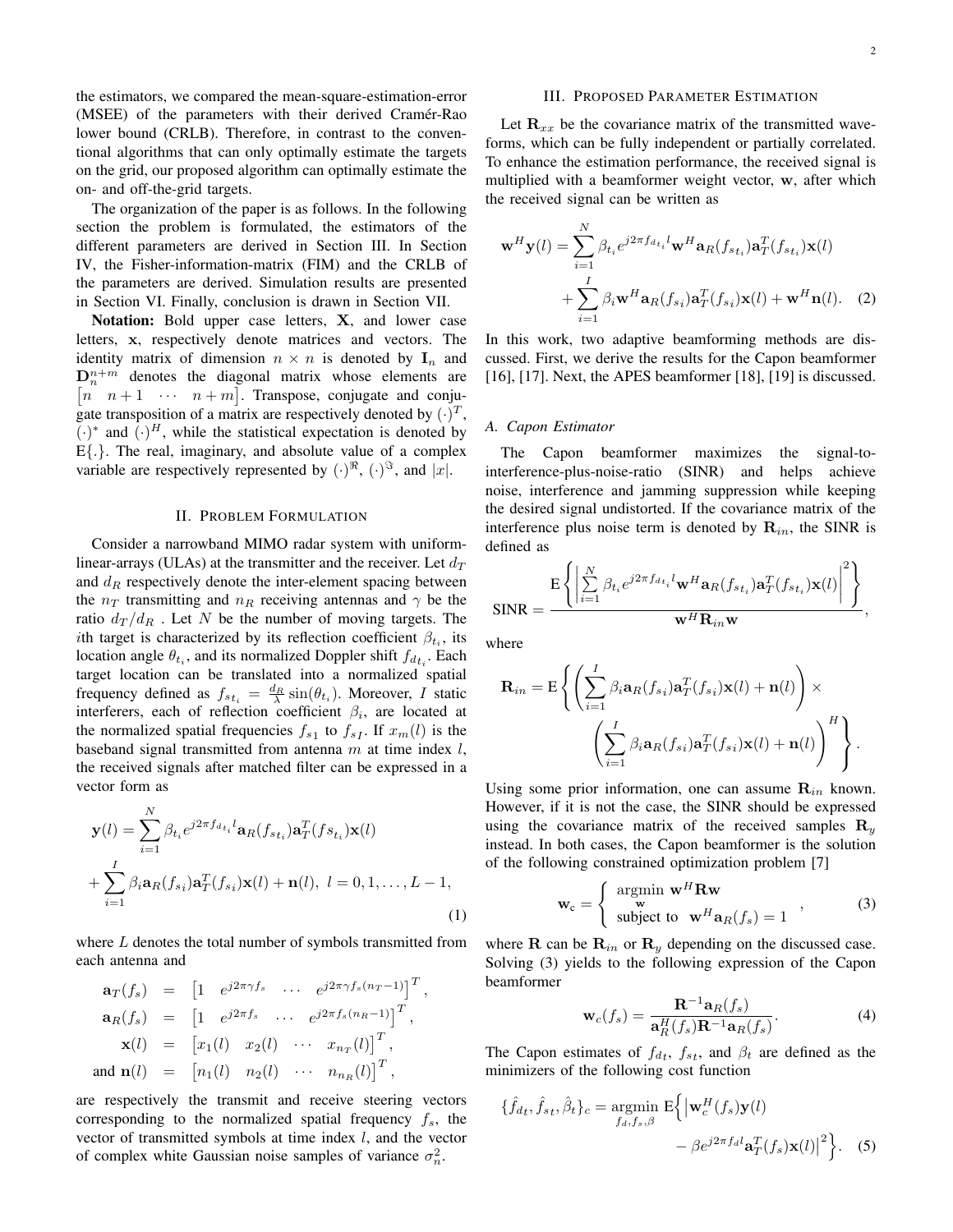the estimators, we compared the mean-square-estimation-error (MSEE) of the parameters with their derived Cramér-Rao lower bound (CRLB). Therefore, in contrast to the conventional algorithms that can only optimally estimate the targets on the grid, our proposed algorithm can optimally estimate the on- and off-the-grid targets.

The organization of the paper is as follows. In the following section the problem is formulated, the estimators of the different parameters are derived in Section III. In Section IV, the Fisher-information-matrix (FIM) and the CRLB of the parameters are derived. Simulation results are presented in Section VI. Finally, conclusion is drawn in Section VII.

Notation: Bold upper case letters, X, and lower case letters, x, respectively denote matrices and vectors. The identity matrix of dimension  $n \times n$  is denoted by  $I_n$  and  $\mathbf{D}_n^{n+m}$  denotes the diagonal matrix whose elements are  $\begin{bmatrix} n & n+1 & \cdots & n+m \end{bmatrix}$ . Transpose, conjugate and conjugate transposition of a matrix are respectively denoted by  $(\cdot)^T$ ,  $(\cdot)^*$  and  $(\cdot)^H$ , while the statistical expectation is denoted by  $E\{\cdot\}$ . The real, imaginary, and absolute value of a complex variable are respectively represented by  $(\cdot)^{\Re}$ ,  $(\cdot)^{\Im}$ , and  $|x|$ .

#### II. PROBLEM FORMULATION

Consider a narrowband MIMO radar system with uniformlinear-arrays (ULAs) at the transmitter and the receiver. Let  $d_T$ and  $d<sub>R</sub>$  respectively denote the inter-element spacing between the  $n_T$  transmitting and  $n_R$  receiving antennas and  $\gamma$  be the ratio  $d_T/d_R$ . Let N be the number of moving targets. The *i*th target is characterized by its reflection coefficient  $\beta_{t_i}$ , its location angle  $\theta_{t_i}$ , and its normalized Doppler shift  $f_{d_{t_i}}$ . Each target location can be translated into a normalized spatial frequency defined as  $f_{st_i} = \frac{d_R}{\lambda} \sin(\theta_{t_i})$ . Moreover, I static interferers, each of reflection coefficient  $\beta_i$ , are located at the normalized spatial frequencies  $f_{s1}$  to  $f_{s1}$ . If  $x_m(l)$  is the baseband signal transmitted from antenna  $m$  at time index  $l$ , the received signals after matched filter can be expressed in a vector form as

$$
\mathbf{y}(l) = \sum_{i=1}^{N} \beta_{t_i} e^{j2\pi f_{d_{t_i}} l} \mathbf{a}_R(f_{st_i}) \mathbf{a}_T^T(f_{st_i}) \mathbf{x}(l)
$$

$$
+ \sum_{i=1}^{I} \beta_i \mathbf{a}_R(f_{st_i}) \mathbf{a}_T^T(f_{st_i}) \mathbf{x}(l) + \mathbf{n}(l), \ l = 0, 1, ..., L - 1,
$$
(1)

where  $L$  denotes the total number of symbols transmitted from each antenna and

$$
\mathbf{a}_T(f_s) = \begin{bmatrix} 1 & e^{j2\pi\gamma f_s} & \cdots & e^{j2\pi\gamma f_s(n_T-1)} \end{bmatrix}^T,
$$
  
\n
$$
\mathbf{a}_R(f_s) = \begin{bmatrix} 1 & e^{j2\pi f_s} & \cdots & e^{j2\pi f_s(n_R-1)} \end{bmatrix}^T,
$$
  
\n
$$
\mathbf{x}(l) = \begin{bmatrix} x_1(l) & x_2(l) & \cdots & x_{n_T}(l) \end{bmatrix}^T,
$$
  
\nand 
$$
\mathbf{n}(l) = \begin{bmatrix} n_1(l) & n_2(l) & \cdots & n_{n_R}(l) \end{bmatrix}^T,
$$

are respectively the transmit and receive steering vectors corresponding to the normalized spatial frequency  $f_s$ , the vector of transmitted symbols at time index  $l$ , and the vector of complex white Gaussian noise samples of variance  $\sigma_n^2$ .

#### III. PROPOSED PARAMETER ESTIMATION

Let  $\mathbf{R}_{xx}$  be the covariance matrix of the transmitted waveforms, which can be fully independent or partially correlated. To enhance the estimation performance, the received signal is multiplied with a beamformer weight vector, w, after which the received signal can be written as

$$
\mathbf{w}^{H}\mathbf{y}(l) = \sum_{i=1}^{N} \beta_{t_{i}} e^{j2\pi f_{d_{t_{i}}}l} \mathbf{w}^{H}\mathbf{a}_{R}(f_{st_{i}})\mathbf{a}_{T}^{T}(f_{st_{i}})\mathbf{x}(l)
$$

$$
+ \sum_{i=1}^{I} \beta_{i} \mathbf{w}^{H}\mathbf{a}_{R}(f_{si})\mathbf{a}_{T}^{T}(f_{si})\mathbf{x}(l) + \mathbf{w}^{H}\mathbf{n}(l). \quad (2)
$$

In this work, two adaptive beamforming methods are discussed. First, we derive the results for the Capon beamformer [16], [17]. Next, the APES beamformer [18], [19] is discussed.

#### *A. Capon Estimator*

The Capon beamformer maximizes the signal-tointerference-plus-noise-ratio (SINR) and helps achieve noise, interference and jamming suppression while keeping the desired signal undistorted. If the covariance matrix of the interference plus noise term is denoted by  $\mathbf{R}_{in}$ , the SINR is defined as

$$
\text{SINR} = \frac{\mathrm{E}\left\{ \left| \sum_{i=1}^{N} \beta_{t_i} e^{j2\pi f_{d_{t_i}} l} \mathbf{w}^H \mathbf{a}_R(f_{st_i}) \mathbf{a}_T^T(f_{st_i}) \mathbf{x}(l) \right|^2 \right\}}{\mathbf{w}^H \mathbf{R}_{in} \mathbf{w}},
$$

where

$$
\mathbf{R}_{in} = \mathbf{E} \left\{ \left( \sum_{i=1}^{I} \beta_i \mathbf{a}_{R}(f_{s_i}) \mathbf{a}_{T}^{T}(f_{s_i}) \mathbf{x}(l) + \mathbf{n}(l) \right) \times \left( \sum_{i=1}^{I} \beta_i \mathbf{a}_{R}(f_{s_i}) \mathbf{a}_{T}^{T}(f_{s_i}) \mathbf{x}(l) + \mathbf{n}(l) \right)^{H} \right\}.
$$

Using some prior information, one can assume  $\mathbf{R}_{in}$  known. However, if it is not the case, the SINR should be expressed using the covariance matrix of the received samples  $\mathbf{R}_u$ instead. In both cases, the Capon beamformer is the solution of the following constrained optimization problem [7]

$$
\mathbf{w}_{c} = \begin{cases} \operatorname*{argmin}_{\mathbf{w}} \mathbf{w}^{H} \mathbf{R} \mathbf{w} \\ \text{subject to } \mathbf{w}^{H} \mathbf{a}_{R}(f_{s}) = 1 \end{cases}, \quad (3)
$$

where **R** can be  $\mathbf{R}_{in}$  or  $\mathbf{R}_{y}$  depending on the discussed case. Solving (3) yields to the following expression of the Capon beamformer

$$
\mathbf{w}_c(f_s) = \frac{\mathbf{R}^{-1}\mathbf{a}_R(f_s)}{\mathbf{a}_R^H(f_s)\mathbf{R}^{-1}\mathbf{a}_R(f_s)}.
$$
(4)

The Capon estimates of  $f_{d_t}$ ,  $f_{s_t}$ , and  $\beta_t$  are defined as the minimizers of the following cost function

$$
\{\hat{f}_{dt}, \hat{f}_{st}, \hat{\beta}_t\}_c = \underset{f_d, f_s, \beta}{\text{argmin}} \mathbf{E} \Big\{ \Big| \mathbf{w}_c^H(f_s) \mathbf{y}(l) - \beta e^{j2\pi f_d l} \mathbf{a}_T^T(f_s) \mathbf{x}(l) \Big|^2 \Big\}. \tag{5}
$$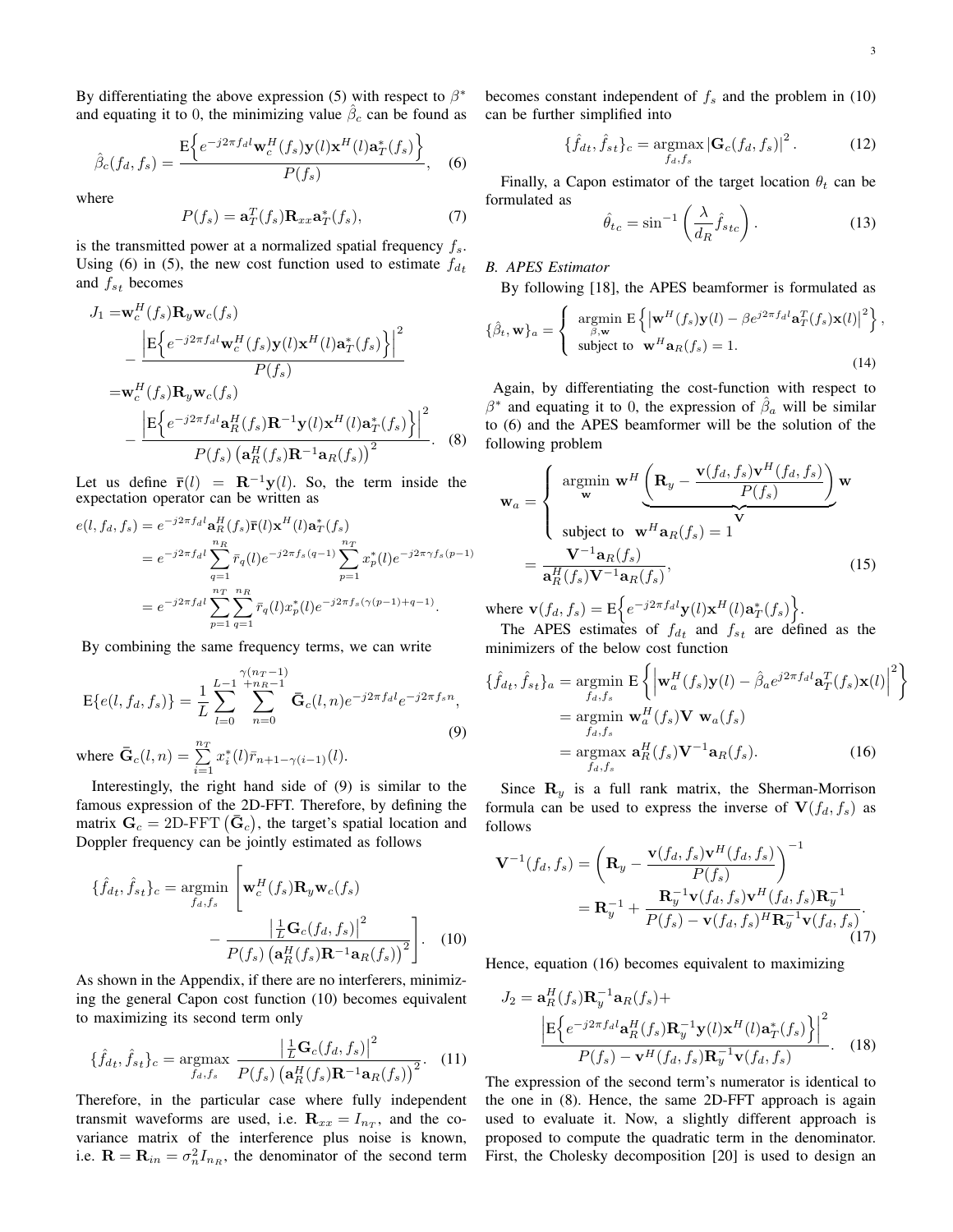,

By differentiating the above expression (5) with respect to  $\beta^*$ and equating it to 0, the minimizing value  $\hat{\beta}_c$  can be found as

$$
\hat{\beta}_c(f_d, f_s) = \frac{\mathrm{E}\Big\{e^{-j2\pi f_d l} \mathbf{w}_c^H(f_s) \mathbf{y}(l) \mathbf{x}^H(l) \mathbf{a}_T^*(f_s)\Big\}}{P(f_s)},\quad(6)
$$

where

$$
P(f_s) = \mathbf{a}_T^T(f_s) \mathbf{R}_{xx} \mathbf{a}_T^*(f_s),\tag{7}
$$

is the transmitted power at a normalized spatial frequency  $f_s$ . Using (6) in (5), the new cost function used to estimate  $f_{dt}$ and  $f_{st}$  becomes

$$
J_1 = \mathbf{w}_c^H(f_s) \mathbf{R}_y \mathbf{w}_c(f_s)
$$
  
\n
$$
- \frac{\left| \mathbf{E} \left\{ e^{-j2\pi f_{d}l} \mathbf{w}_c^H(f_s) \mathbf{y}(l) \mathbf{x}^H(l) \mathbf{a}_T^*(f_s) \right\} \right|^2}{P(f_s)}
$$
\n
$$
= \mathbf{w}_c^H(f_s) \mathbf{R}_y \mathbf{w}_c(f_s)
$$
\n
$$
- \frac{\left| \mathbf{E} \left\{ e^{-j2\pi f_{d}l} \mathbf{a}_R^H(f_s) \mathbf{R}^{-1} \mathbf{y}(l) \mathbf{x}^H(l) \mathbf{a}_T^*(f_s) \right\} \right|^2}{P(f_s) \left( \mathbf{a}_R^H(f_s) \mathbf{R}^{-1} \mathbf{a}_R(f_s) \right)^2}.
$$
\n(8)

Let us define  $\bar{\mathbf{r}}(l) = \mathbf{R}^{-1}\mathbf{y}(l)$ . So, the term inside the expectation operator can be written as

$$
e(l, f_d, f_s) = e^{-j2\pi f_d l} \mathbf{a}_R^H(f_s) \mathbf{\bar{r}}(l) \mathbf{x}^H(l) \mathbf{a}_T^*(f_s)
$$
  
=  $e^{-j2\pi f_d l} \sum_{q=1}^{n_R} \bar{r}_q(l) e^{-j2\pi f_s(q-1)} \sum_{p=1}^{n_T} x_p^*(l) e^{-j2\pi \gamma f_s(p-1)}$   
=  $e^{-j2\pi f_d l} \sum_{p=1}^{n_T} \sum_{q=1}^{n_R} \bar{r}_q(l) x_p^*(l) e^{-j2\pi f_s(\gamma(p-1)+q-1)}.$ 

By combining the same frequency terms, we can write

$$
E\{e(l, f_d, f_s)\} = \frac{1}{L} \sum_{l=0}^{L-1} \sum_{n=0}^{\gamma(n_T-1)} \bar{G}_c(l, n) e^{-j2\pi f_d l} e^{-j2\pi f_s n},
$$
\n(9)

where  $\bar{\mathbf{G}}_c(l,n) = \sum_{i=1}^{n_T}$  $x_i^*(l)\bar{r}_{n+1-\gamma(i-1)}(l).$ 

Interestingly, the right hand side of (9) is similar to the famous expression of the 2D-FFT. Therefore, by defining the matrix  $\mathbf{G}_c = 2D$ -FFT  $(\mathbf{\bar{G}}_c)$ , the target's spatial location and Doppler frequency can be jointly estimated as follows

$$
\{\hat{f}_{dt}, \hat{f}_{st}\}_c = \underset{f_d, f_s}{\text{argmin}} \left[ \mathbf{w}_c^H(f_s) \mathbf{R}_y \mathbf{w}_c(f_s) - \frac{\left| \frac{1}{L} \mathbf{G}_c(f_d, f_s) \right|^2}{P(f_s) \left( \mathbf{a}_R^H(f_s) \mathbf{R}^{-1} \mathbf{a}_R(f_s) \right)^2} \right]. \tag{10}
$$

As shown in the Appendix, if there are no interferers, minimizing the general Capon cost function (10) becomes equivalent to maximizing its second term only

$$
\{\hat{f}_{dt}, \hat{f}_{st}\}_c = \underset{f_d, f_s}{\text{argmax}} \frac{\left|\frac{1}{L}\mathbf{G}_c(f_d, f_s)\right|^2}{P(f_s) \left(\mathbf{a}_R^H(f_s)\mathbf{R}^{-1}\mathbf{a}_R(f_s)\right)^2}.\tag{11}
$$

Therefore, in the particular case where fully independent transmit waveforms are used, i.e.  $\mathbf{R}_{xx} = I_{n_T}$ , and the covariance matrix of the interference plus noise is known, i.e.  $\mathbf{R} = \mathbf{R}_{in} = \sigma_n^2 I_{n_R}$ , the denominator of the second term becomes constant independent of  $f_s$  and the problem in (10) can be further simplified into

$$
\{\hat{f}_{dt}, \hat{f}_{st}\}_c = \underset{f_d, f_s}{\text{argmax}} |\mathbf{G}_c(f_d, f_s)|^2. \tag{12}
$$

Finally, a Capon estimator of the target location  $\theta_t$  can be formulated as

$$
\hat{\theta}_{tc} = \sin^{-1}\left(\frac{\lambda}{d_R}\hat{f}_{stc}\right). \tag{13}
$$

# *B. APES Estimator*

By following [18], the APES beamformer is formulated as

$$
\{\hat{\beta}_t, \mathbf{w}\}_a = \begin{cases} \operatorname*{argmin}_{\beta, \mathbf{w}} \mathbf{E} \left\{ \left| \mathbf{w}^H(f_s) \mathbf{y}(l) - \beta e^{j2\pi f_d l} \mathbf{a}_T^T(f_s) \mathbf{x}(l) \right|^2 \right\} \\ \text{subject to } \mathbf{w}^H \mathbf{a}_R(f_s) = 1. \end{cases}
$$
(14)

Again, by differentiating the cost-function with respect to  $\beta^*$  and equating it to 0, the expression of  $\hat{\beta}_a$  will be similar to (6) and the APES beamformer will be the solution of the following problem

$$
\mathbf{w}_{a} = \begin{cases} \operatorname{argmin}_{\mathbf{w}} \mathbf{w}^{H} \left( \mathbf{R}_{y} - \frac{\mathbf{v}(f_{d}, f_{s}) \mathbf{v}^{H}(f_{d}, f_{s})}{P(f_{s})} \right) \mathbf{w} \\ \text{subject to } \mathbf{w}^{H} \mathbf{a}_{R}(f_{s}) = 1 \end{cases}
$$

$$
= \frac{\mathbf{V}^{-1} \mathbf{a}_{R}(f_{s})}{\mathbf{a}_{R}^{H}(f_{s}) \mathbf{V}^{-1} \mathbf{a}_{R}(f_{s})},
$$
(15)

where  $\mathbf{v}(f_d, f_s) = \mathbf{E} \Big\{ e^{-j2\pi f_d l} \mathbf{y}(l) \mathbf{x}^H(l) \mathbf{a}^*_T(f_s) \Big\}.$ 

The APES estimates of  $f_{dt}$  and  $f_{st}$  are defined as the minimizers of the below cost function

$$
\{\hat{f}_{d_t}, \hat{f}_{s_t}\}_a = \underset{f_d, f_s}{\text{argmin}} \mathbf{E} \left\{ \left| \mathbf{w}_a^H(f_s) \mathbf{y}(l) - \hat{\beta}_a e^{j2\pi f_d l} \mathbf{a}_T^T(f_s) \mathbf{x}(l) \right|^2 \right\}
$$
\n
$$
= \underset{f_d, f_s}{\text{argmin}} \mathbf{w}_a^H(f_s) \mathbf{V} \mathbf{w}_a(f_s)
$$
\n
$$
= \underset{f_d, f_s}{\text{argmax}} \mathbf{a}_R^H(f_s) \mathbf{V}^{-1} \mathbf{a}_R(f_s). \tag{16}
$$

Since  $\mathbf{R}_y$  is a full rank matrix, the Sherman-Morrison formula can be used to express the inverse of  $V(f_d, f_s)$  as follows

$$
\mathbf{V}^{-1}(f_d, f_s) = \left(\mathbf{R}_y - \frac{\mathbf{v}(f_d, f_s)\mathbf{v}^H(f_d, f_s)}{P(f_s)}\right)^{-1}
$$
  
=  $\mathbf{R}_y^{-1} + \frac{\mathbf{R}_y^{-1}\mathbf{v}(f_d, f_s)\mathbf{v}^H(f_d, f_s)\mathbf{R}_y^{-1}}{P(f_s) - \mathbf{v}(f_d, f_s)^H \mathbf{R}_y^{-1}\mathbf{v}(f_d, f_s)}.$  (17)

Hence, equation (16) becomes equivalent to maximizing

$$
J_2 = \mathbf{a}_R^H(f_s)\mathbf{R}_y^{-1}\mathbf{a}_R(f_s) +
$$
  
\n
$$
\frac{\left|\mathbf{E}\left\{e^{-j2\pi f_d l}\mathbf{a}_R^H(f_s)\mathbf{R}_y^{-1}\mathbf{y}(l)\mathbf{x}^H(l)\mathbf{a}_T^*(f_s)\right\}\right|^2}{P(f_s) - \mathbf{v}^H(f_d, f_s)\mathbf{R}_y^{-1}\mathbf{v}(f_d, f_s)}.
$$
 (18)

The expression of the second term's numerator is identical to the one in (8). Hence, the same 2D-FFT approach is again used to evaluate it. Now, a slightly different approach is proposed to compute the quadratic term in the denominator. First, the Cholesky decomposition [20] is used to design an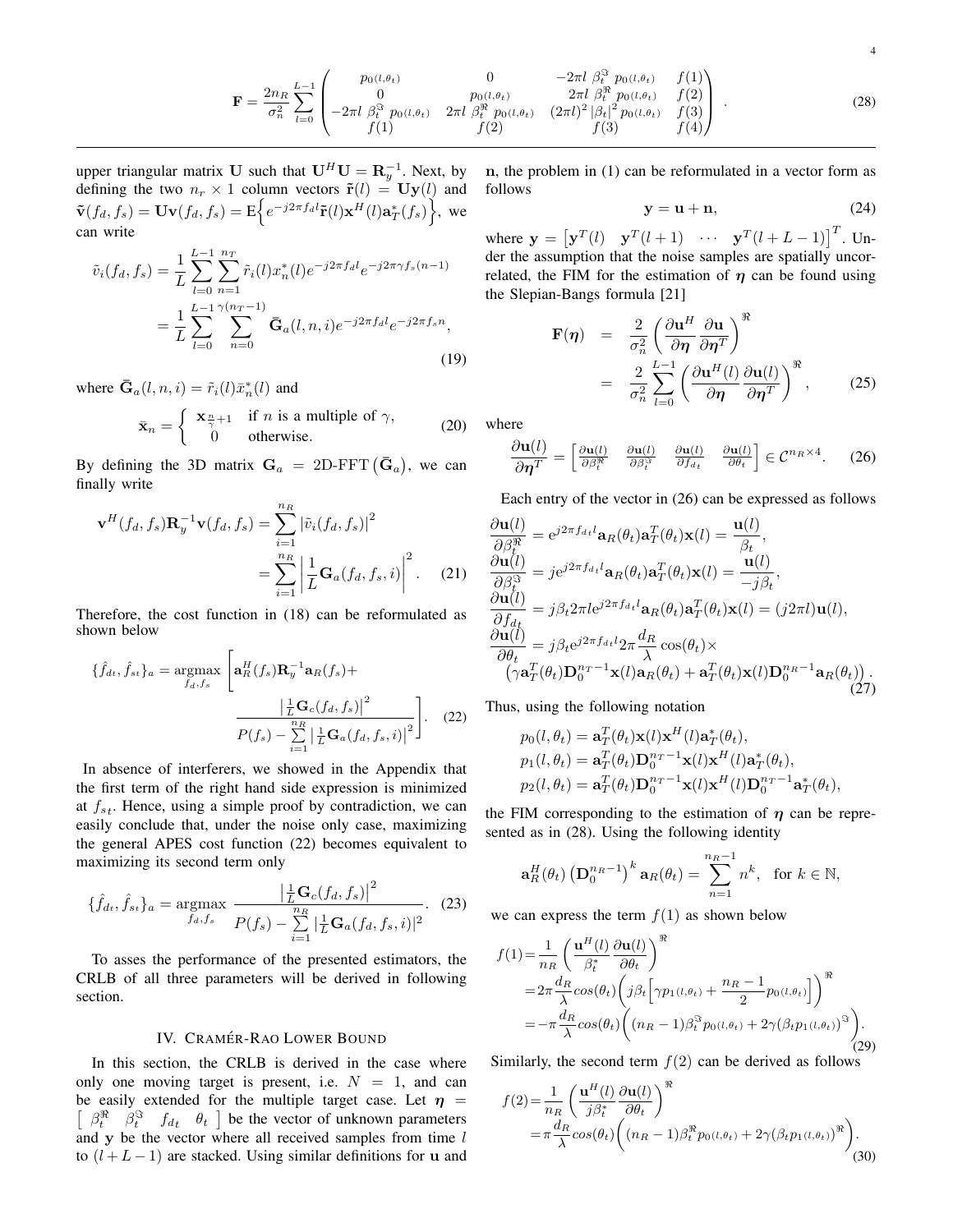$$
\mathbf{F} = \frac{2n_R}{\sigma_n^2} \sum_{l=0}^{L-1} \begin{pmatrix} p_{0(l,\theta_t)} & 0 & -2\pi l \beta_t^3 p_{0(l,\theta_t)} & f(1) \\ 0 & p_{0(l,\theta_t)} & 2\pi l \beta_t^3 p_{0(l,\theta_t)} & f(2) \\ -2\pi l \beta_t^3 p_{0(l,\theta_t)} & 2\pi l \beta_t^3 p_{0(l,\theta_t)} & (2\pi l)^2 |\beta_t|^2 p_{0(l,\theta_t)} & f(3) \\ f(1) & f(2) & f(3) & f(4) \end{pmatrix} .
$$
 (28)

upper triangular matrix U such that  $U^H U = \mathbf{R}_y^{-1}$ . Next, by defining the two  $n_r \times 1$  column vectors  $\tilde{\mathbf{r}}(l) = \mathbf{U}\mathbf{y}(l)$  and  $\tilde{\mathbf{v}}(f_d, f_s) = \mathbf{U}\mathbf{v}(f_d, f_s) = \mathbf{E} \Big\{ e^{-j2\pi f_d l} \tilde{\mathbf{r}}(l) \mathbf{x}^H(l) \mathbf{a}^*_T(f_s) \Big\},\,$  we can write

$$
\tilde{v}_i(f_d, f_s) = \frac{1}{L} \sum_{l=0}^{L-1} \sum_{n=1}^{n_T} \tilde{r}_i(l) x_n^*(l) e^{-j2\pi f_d l} e^{-j2\pi \gamma f_s(n-1)}
$$
\n
$$
= \frac{1}{L} \sum_{l=0}^{L-1} \sum_{n=0}^{\gamma(n_T-1)} \bar{G}_a(l, n, i) e^{-j2\pi f_d l} e^{-j2\pi f_s n},
$$
\n(19)

where  $\bar{\mathbf{G}}_a(l,n,i) = \tilde{r}_i(l)\bar{x}_n^*(l)$  and

$$
\bar{\mathbf{x}}_n = \begin{cases} \mathbf{x}_{\frac{n}{\gamma}+1} & \text{if } n \text{ is a multiple of } \gamma, \\ 0 & \text{otherwise.} \end{cases}
$$
 (20)

By defining the 3D matrix  $G_a = 2D$ -FFT  $(\bar{G}_a)$ , we can finally write

$$
\mathbf{v}^{H}(f_{d}, f_{s})\mathbf{R}_{y}^{-1}\mathbf{v}(f_{d}, f_{s}) = \sum_{i=1}^{n_{R}} |\tilde{v}_{i}(f_{d}, f_{s})|^{2}
$$

$$
= \sum_{i=1}^{n_{R}} \left| \frac{1}{L} \mathbf{G}_{a}(f_{d}, f_{s}, i) \right|^{2}.
$$
(21)

Therefore, the cost function in (18) can be reformulated as shown below

$$
\{\hat{f}_{dt}, \hat{f}_{st}\}_a = \underset{f_d, f_s}{\operatorname{argmax}} \left[ \mathbf{a}_R^H(f_s) \mathbf{R}_y^{-1} \mathbf{a}_R(f_s) + \frac{\left| \frac{1}{L} \mathbf{G}_c(f_d, f_s) \right|^2}{P(f_s) - \sum_{i=1}^{n_R} \left| \frac{1}{L} \mathbf{G}_a(f_d, f_s, i) \right|^2} \right].
$$
 (22)

In absence of interferers, we showed in the Appendix that the first term of the right hand side expression is minimized at  $f_{st}$ . Hence, using a simple proof by contradiction, we can easily conclude that, under the noise only case, maximizing the general APES cost function (22) becomes equivalent to maximizing its second term only

$$
\{\hat{f}_{dt}, \hat{f}_{st}\}_a = \underset{f_d, f_s}{\text{argmax}} \frac{\left|\frac{1}{L}\mathbf{G}_c(f_d, f_s)\right|^2}{P(f_s) - \sum\limits_{i=1}^{n_R}|\frac{1}{L}\mathbf{G}_a(f_d, f_s, i)|^2}.
$$
 (23)

To asses the performance of the presented estimators, the CRLB of all three parameters will be derived in following section.

#### IV. CRAMÉR-RAO LOWER BOUND

In this section, the CRLB is derived in the case where only one moving target is present, i.e.  $N = 1$ , and can be easily extended for the multiple target case. Let  $\eta$  =  $\left[\begin{array}{cc} \beta_t^{\Re} & \beta_t^{\Im} \\ \end{array}\right]$  be the vector of unknown parameters and  $y$  be the vector where all received samples from time  $l$ to  $(l + L - 1)$  are stacked. Using similar definitions for u and n, the problem in (1) can be reformulated in a vector form as follows

$$
y = u + n,\t(24)
$$

where  $\mathbf{y} = \begin{bmatrix} \mathbf{y}^T(l) & \mathbf{y}^T(l+1) & \cdots & \mathbf{y}^T(l+L-1) \end{bmatrix}^T$ . Under the assumption that the noise samples are spatially uncorrelated, the FIM for the estimation of  $\eta$  can be found using the Slepian-Bangs formula [21]

$$
\mathbf{F}(\boldsymbol{\eta}) = \frac{2}{\sigma_n^2} \left( \frac{\partial \mathbf{u}^H}{\partial \boldsymbol{\eta}} \frac{\partial \mathbf{u}}{\partial \boldsymbol{\eta}^T} \right)^{\mathfrak{R}} \n= \frac{2}{\sigma_n^2} \sum_{l=0}^{L-1} \left( \frac{\partial \mathbf{u}^H(l)}{\partial \boldsymbol{\eta}} \frac{\partial \mathbf{u}(l)}{\partial \boldsymbol{\eta}^T} \right)^{\mathfrak{R}}, \qquad (25)
$$

where

$$
\frac{\partial \mathbf{u}(l)}{\partial \boldsymbol{\eta}^T} = \begin{bmatrix} \frac{\partial \mathbf{u}(l)}{\partial \beta_t^{\Re}} & \frac{\partial \mathbf{u}(l)}{\partial \beta_t^{\Im}} & \frac{\partial \mathbf{u}(l)}{\partial f_{d_t}} & \frac{\partial \mathbf{u}(l)}{\partial \theta_t} \end{bmatrix} \in \mathcal{C}^{n_R \times 4}.
$$
 (26)

Each entry of the vector in (26) can be expressed as follows

$$
\frac{\partial \mathbf{u}(l)}{\partial \beta_t^{\mathfrak{R}}} = e^{j2\pi f_{d_t}l} \mathbf{a}_R(\theta_t) \mathbf{a}_T^T(\theta_t) \mathbf{x}(l) = \frac{\mathbf{u}(l)}{\beta_t},
$$
\n
$$
\frac{\partial \mathbf{u}(l)}{\partial \beta_t^{\mathfrak{R}}} = j e^{j2\pi f_{d_t}l} \mathbf{a}_R(\theta_t) \mathbf{a}_T^T(\theta_t) \mathbf{x}(l) = \frac{\mathbf{u}(l)}{-j\beta_t},
$$
\n
$$
\frac{\partial \mathbf{u}(l)}{\partial f_{d_t}} = j\beta_t 2\pi l e^{j2\pi f_{d_t}l} \mathbf{a}_R(\theta_t) \mathbf{a}_T^T(\theta_t) \mathbf{x}(l) = (j2\pi l) \mathbf{u}(l),
$$
\n
$$
\frac{\partial \mathbf{u}(l)}{\partial \theta_t} = j\beta_t e^{j2\pi f_{d_t}l} 2\pi \frac{d_R}{\lambda} \cos(\theta_t) \times (\gamma \mathbf{a}_T^T(\theta_t) \mathbf{D}_0^{n_T-1} \mathbf{x}(l) \mathbf{a}_R(\theta_t) + \mathbf{a}_T^T(\theta_t) \mathbf{x}(l) \mathbf{D}_0^{n_R-1} \mathbf{a}_R(\theta_t)).
$$
\n(27)

Thus, using the following notation

$$
p_0(l, \theta_t) = \mathbf{a}_T^T(\theta_t)\mathbf{x}(l)\mathbf{x}^H(l)\mathbf{a}_T^*(\theta_t),
$$
  
\n
$$
p_1(l, \theta_t) = \mathbf{a}_T^T(\theta_t)\mathbf{D}_0^{n_T-1}\mathbf{x}(l)\mathbf{x}^H(l)\mathbf{a}_T^*(\theta_t),
$$
  
\n
$$
p_2(l, \theta_t) = \mathbf{a}_T^T(\theta_t)\mathbf{D}_0^{n_T-1}\mathbf{x}(l)\mathbf{x}^H(l)\mathbf{D}_0^{n_T-1}\mathbf{a}_T^*(\theta_t),
$$

the FIM corresponding to the estimation of  $\eta$  can be represented as in (28). Using the following identity

$$
\mathbf{a}_R^H(\theta_t) \left(\mathbf{D}_0^{n_R-1}\right)^k \mathbf{a}_R(\theta_t) = \sum_{n=1}^{n_R-1} n^k, \text{ for } k \in \mathbb{N},
$$

we can express the term  $f(1)$  as shown below

$$
f(1) = \frac{1}{n_R} \left( \frac{\mathbf{u}^H(l)}{\beta_t^*} \frac{\partial \mathbf{u}(l)}{\partial \theta_t} \right)^{\Re}
$$
  
=  $2\pi \frac{d_R}{\lambda} cos(\theta_t) \left( j\beta_t \left[ \gamma p_1(l, \theta_t) + \frac{n_R - 1}{2} p_0(l, \theta_t) \right] \right)^{\Re}$   
=  $-\pi \frac{d_R}{\lambda} cos(\theta_t) \left( (n_R - 1) \beta_t^{\Im} p_0(l, \theta_t) + 2\gamma (\beta_t p_1(l, \theta_t))^{\Im} \right).$  (29)

Similarly, the second term  $f(2)$  can be derived as follows

$$
f(2) = \frac{1}{n_R} \left( \frac{\mathbf{u}^H(l)}{j\beta_t^*} \frac{\partial \mathbf{u}(l)}{\partial \theta_t} \right)^{\Re} = \pi \frac{d_R}{\lambda} cos(\theta_t) \left( (n_R - 1) \beta_t^* p_{0(l, \theta_t)} + 2\gamma (\beta_t p_{1(l, \theta_t)})^{\Re} \right).
$$
(30)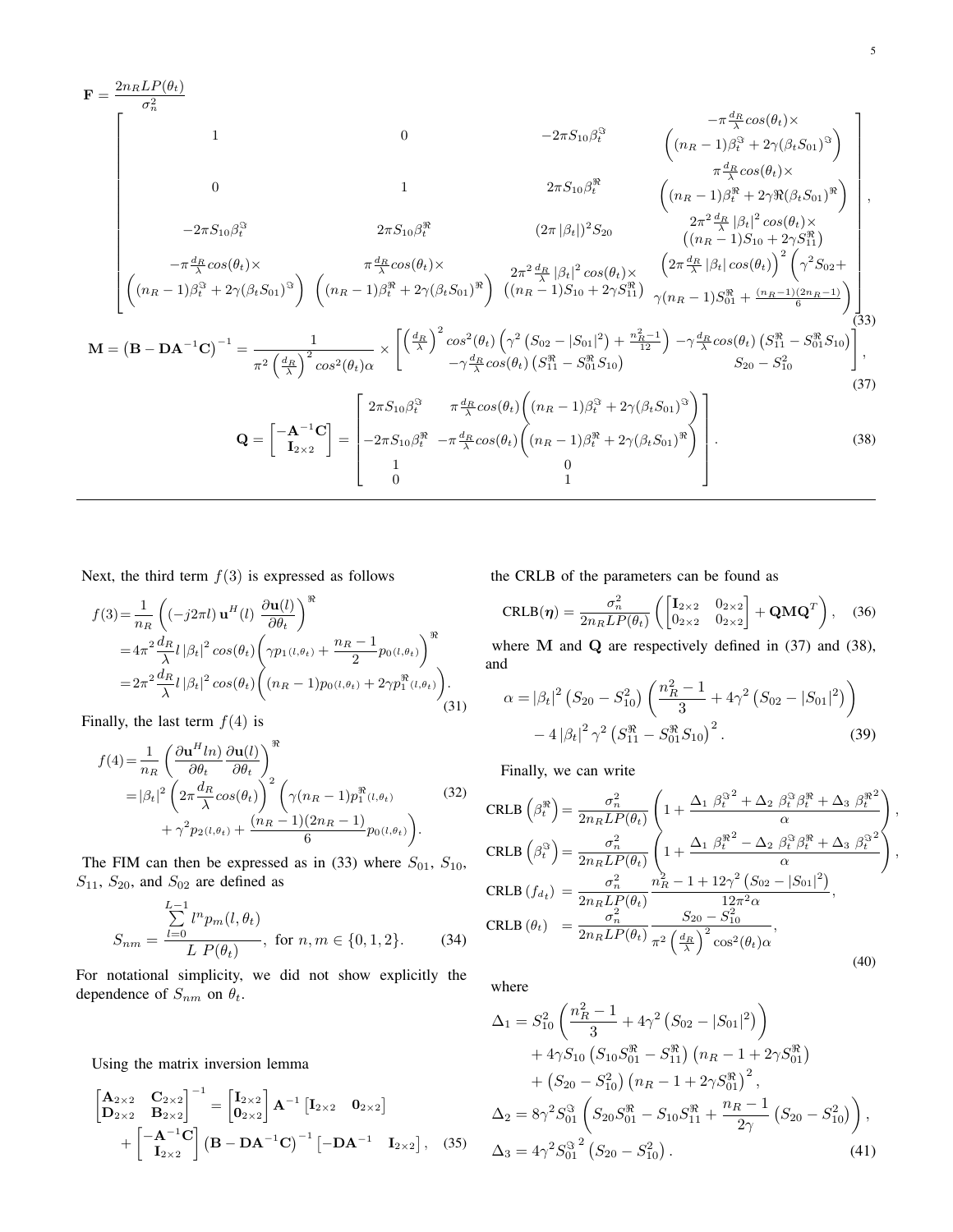$$
\mathbf{F} = \frac{2n_{R}LP(\theta_{t})}{\sigma_{n}^{2}}
$$
\n
$$
\mathbf{F} = \frac{2n_{R}LP(\theta_{t})}{\sigma_{n}^{2}}
$$
\n
$$
\mathbf{F} = \frac{2n_{R}LP(\theta_{t})}{\sigma_{n}^{2}} \left(\frac{-\pi_{A_{R}}^{d_{R}}cos(\theta_{t}) \times \left(\frac{-\pi_{A_{R}}^{d_{R}}cos(\theta_{t}) \times \frac{-\pi_{A_{R}}^{d_{R}}cos(\theta_{t}) \times \frac{-\pi_{A_{R}}^{d_{R}}cos(\theta_{t}) \times \pi_{A_{R}}^{d_{R}}}{\pi_{A_{R}}^{d_{R}}cos(\theta_{t}) \times \frac{-\pi_{A_{R}}^{d_{R}}cos(\theta_{t}) \times \pi_{A_{R}}^{d_{R}}cos(\theta_{t}) \times \frac{-\pi_{A_{R}}^{d_{R}}cos(\theta_{t}) \times \pi_{A_{R}}^{d_{R}}cos(\theta_{t}) \times \pi_{A_{R}}^{d_{R}}cos(\theta_{t}) \times \frac{-\pi_{A_{R}}^{d_{R}}cos(\theta_{t}) \times \pi_{A_{R}}^{d_{R}}cos(\theta_{t}) \times \frac{-\pi_{A_{R}}^{d_{R}}cos(\theta_{t}) \times \pi_{A_{R}}^{d_{R}}cos(\theta_{t}) \times \frac{-\pi_{A_{R}}^{d_{R}}cos(\theta_{t}) \times \pi_{A_{R}}^{d_{R}}cos(\theta_{t}) \times \frac{-\pi_{A_{R}}^{d_{R}}cos(\theta_{t}) \times \pi_{A_{R}}^{d_{R}}cos(\theta_{t}) \times \frac{-\pi_{A_{R}}^{d_{R}}cos(\theta_{t}) \times \pi_{A_{R}}^{d_{R}}cos(\theta_{t}) \times \frac{-\pi_{A_{R}}^{d_{R}}cos(\theta_{t}) \times \pi_{A_{R}}^{d_{R}}cos(\theta_{t}) \times \frac{-\pi_{A_{R}}^{d_{R}}cos(\theta_{t}) \times \pi_{A_{R}}^{d_{R}}cos(\theta_{t}) \times \frac{-\pi_{A_{R}}^{d_{R}}cos(\theta_{t}) \times \pi_{A_{R}}^{d_{R}}cos(\theta_{t}) \times \frac{-\pi_{A_{R}}^{d_{R}}cos(\theta_{t}) \times \pi_{A_{R}}^{d_{R}}cos(\theta_{t}) \times \frac{-\pi_{A_{R}}^{d_{R}}cos(\theta_{t}) \times \pi_{A_{R}}^{d
$$

Next, the third term  $f(3)$  is expressed as follows

$$
f(3) = \frac{1}{n_R} \left( (-j2\pi l) \mathbf{u}^H(l) \frac{\partial \mathbf{u}(l)}{\partial \theta_t} \right)^{\Re}
$$
  
=  $4\pi^2 \frac{d_R}{\lambda} l |\beta_t|^2 \cos(\theta_t) \left( \gamma p_1(l, \theta_t) + \frac{n_R - 1}{2} p_0(l, \theta_t) \right)^{\Re}$   
=  $2\pi^2 \frac{d_R}{\lambda} l |\beta_t|^2 \cos(\theta_t) \left( (n_R - 1) p_0(l, \theta_t) + 2\gamma p_1^{\Re}(l, \theta_t) \right).$  (31)

Finally, the last term  $f(4)$  is

$$
f(4) = \frac{1}{n_R} \left( \frac{\partial \mathbf{u}^H \ln}{\partial \theta_t} \frac{\partial \mathbf{u}(l)}{\partial \theta_t} \right)^{\Re} = |\beta_t|^2 \left( 2\pi \frac{d_R}{\lambda} \cos(\theta_t) \right)^2 \left( \gamma (n_R - 1) p_1^{\Re}(l, \theta_t) \right) + \gamma^2 p_2(l, \theta_t) + \frac{(n_R - 1)(2n_R - 1)}{6} p_0(l, \theta_t) \right).
$$
 (32)

The FIM can then be expressed as in (33) where  $S_{01}$ ,  $S_{10}$ ,  $S_{11}$ ,  $S_{20}$ , and  $S_{02}$  are defined as

$$
S_{nm} = \frac{\sum_{l=0}^{L-1} l^n p_m(l, \theta_t)}{L P(\theta_t)}, \text{ for } n, m \in \{0, 1, 2\}. \tag{34}
$$

For notational simplicity, we did not show explicitly the dependence of  $S_{nm}$  on  $\theta_t$ .

Using the matrix inversion lemma

$$
\begin{bmatrix} \mathbf{A}_{2\times 2} & \mathbf{C}_{2\times 2} \\ \mathbf{D}_{2\times 2} & \mathbf{B}_{2\times 2} \end{bmatrix}^{-1} = \begin{bmatrix} \mathbf{I}_{2\times 2} \\ \mathbf{0}_{2\times 2} \end{bmatrix} \mathbf{A}^{-1} \begin{bmatrix} \mathbf{I}_{2\times 2} & \mathbf{0}_{2\times 2} \end{bmatrix} + \begin{bmatrix} -\mathbf{A}^{-1}\mathbf{C} \\ \mathbf{I}_{2\times 2} \end{bmatrix} (\mathbf{B} - \mathbf{DA}^{-1}\mathbf{C})^{-1} \begin{bmatrix} -\mathbf{DA}^{-1} & \mathbf{I}_{2\times 2} \end{bmatrix}, \quad (35)
$$

the CRLB of the parameters can be found as

$$
CRLB(\boldsymbol{\eta}) = \frac{\sigma_n^2}{2n_R L P(\theta_t)} \left( \begin{bmatrix} \mathbf{I}_{2 \times 2} & 0_{2 \times 2} \\ 0_{2 \times 2} & 0_{2 \times 2} \end{bmatrix} + \mathbf{Q} \mathbf{M} \mathbf{Q}^T \right), \quad (36)
$$

5

where M and Q are respectively defined in (37) and (38), and

$$
\alpha = |\beta_t|^2 \left( S_{20} - S_{10}^2 \right) \left( \frac{n_R^2 - 1}{3} + 4\gamma^2 \left( S_{02} - |S_{01}|^2 \right) \right) - 4 \left| \beta_t \right|^2 \gamma^2 \left( S_{11}^{\Re} - S_{01}^{\Re} S_{10} \right)^2.
$$
 (39)

Finally, we can write

$$
\begin{split}\n\text{CRLB} \left( \beta_t^{\Re} \right) &= \frac{\sigma_n^2}{2n_R L P(\theta_t)} \left( 1 + \frac{\Delta_1 \beta_t^{\Im^2} + \Delta_2 \beta_t^{\Im \beta_t^{\Re}} + \Delta_3 \beta_t^{\Re^2}}{\alpha} \right), \\
\text{CRLB} \left( \beta_t^{\Im} \right) &= \frac{\sigma_n^2}{2n_R L P(\theta_t)} \left( 1 + \frac{\Delta_1 \beta_t^{\Re^2} - \Delta_2 \beta_t^{\Im \beta_t^{\Re}} + \Delta_3 \beta_t^{\Im^2}}{\alpha} \right), \\
\text{CRLB} \left( f_{d_t} \right) &= \frac{\sigma_n^2}{2n_R L P(\theta_t)} \frac{n_R^2 - 1 + 12\gamma^2 \left( S_{02} - |S_{01}|^2 \right)}{12\pi^2 \alpha}, \\
\text{CRLB} \left( \theta_t \right) &= \frac{\sigma_n^2}{2n_R L P(\theta_t)} \frac{S_{20} - S_{10}^2}{\pi^2 \left( \frac{d_R}{\lambda} \right)^2 \cos^2(\theta_t) \alpha},\n\end{split} \tag{40}
$$

where

$$
\Delta_1 = S_{10}^2 \left( \frac{n_R^2 - 1}{3} + 4\gamma^2 \left( S_{02} - |S_{01}|^2 \right) \right) \n+ 4\gamma S_{10} \left( S_{10} S_{01}^{\Re} - S_{11}^{\Re} \right) \left( n_R - 1 + 2\gamma S_{01}^{\Re} \right) \n+ \left( S_{20} - S_{10}^2 \right) \left( n_R - 1 + 2\gamma S_{01}^{\Re} \right)^2, \n\Delta_2 = 8\gamma^2 S_{01}^{\Im} \left( S_{20} S_{01}^{\Re} - S_{10} S_{11}^{\Re} + \frac{n_R - 1}{2\gamma} \left( S_{20} - S_{10}^2 \right) \right), \n\Delta_3 = 4\gamma^2 S_{01}^{\Im}^2 \left( S_{20} - S_{10}^2 \right).
$$
\n(41)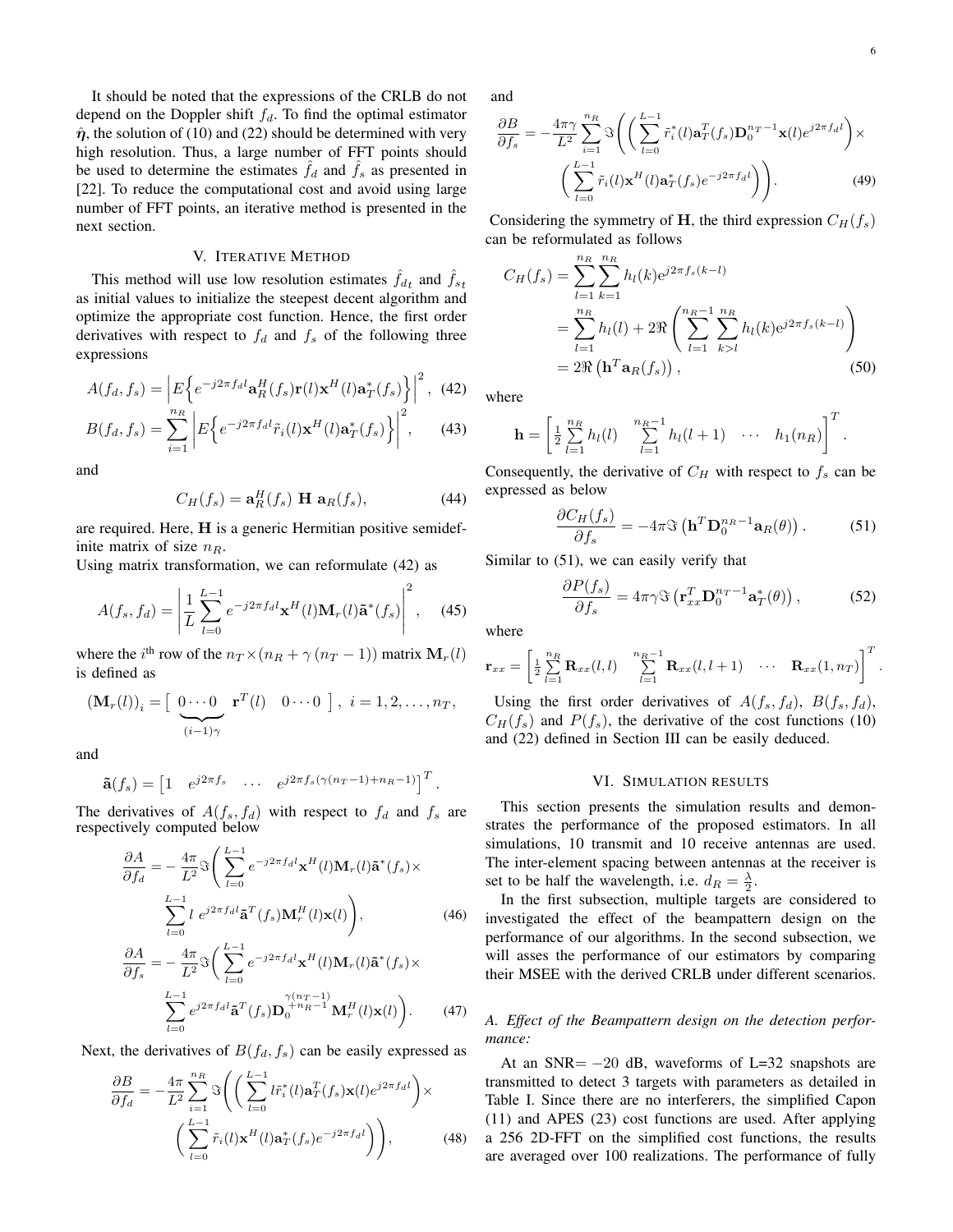.

It should be noted that the expressions of the CRLB do not depend on the Doppler shift  $f_d$ . To find the optimal estimator  $\hat{\eta}$ , the solution of (10) and (22) should be determined with very high resolution. Thus, a large number of FFT points should be used to determine the estimates  $f_d$  and  $f_s$  as presented in [22]. To reduce the computational cost and avoid using large number of FFT points, an iterative method is presented in the next section.

# V. ITERATIVE METHOD

This method will use low resolution estimates  $\hat{f}_{dt}$  and  $\hat{f}_{st}$ as initial values to initialize the steepest decent algorithm and optimize the appropriate cost function. Hence, the first order derivatives with respect to  $f_d$  and  $f_s$  of the following three expressions

$$
A(f_d, f_s) = \left| E \left\{ e^{-j2\pi f_d l} \mathbf{a}_R^H(f_s) \mathbf{r}(l) \mathbf{x}^H(l) \mathbf{a}_T^*(f_s) \right\} \right|^2, \tag{42}
$$

$$
B(f_d, f_s) = \sum_{i=1}^{n_R} \left| E \left\{ e^{-j2\pi f_d l} \tilde{r}_i(l) \mathbf{x}^H(l) \mathbf{a}^*_T(f_s) \right\} \right|^2, \quad (43)
$$

and

$$
C_H(f_s) = \mathbf{a}_R^H(f_s) \mathbf{H} \mathbf{a}_R(f_s), \tag{44}
$$

are required. Here, H is a generic Hermitian positive semidefinite matrix of size  $n_R$ .

Using matrix transformation, we can reformulate (42) as

$$
A(f_s, f_d) = \left| \frac{1}{L} \sum_{l=0}^{L-1} e^{-j2\pi f_d l} \mathbf{x}^H(l) \mathbf{M}_r(l) \tilde{\mathbf{a}}^*(f_s) \right|^2, \quad (45)
$$

where the *i*<sup>th</sup> row of the  $n_T \times (n_R + \gamma (n_T - 1))$  matrix  $\mathbf{M}_r(l)$ is defined as

$$
(\mathbf{M}_r(l))_i = \left[\begin{array}{cc} 0 \cdots 0 & \mathbf{r}^T(l) & 0 \cdots 0 \end{array}\right], i = 1, 2, \ldots, n_T,
$$

and

$$
\tilde{\mathbf{a}}(f_s) = \begin{bmatrix} 1 & e^{j2\pi f_s} & \cdots & e^{j2\pi f_s(\gamma(n_T-1) + n_R-1)} \end{bmatrix}^T.
$$

The derivatives of  $A(f_s, f_d)$  with respect to  $f_d$  and  $f_s$  are respectively computed below

$$
\frac{\partial A}{\partial f_d} = -\frac{4\pi}{L^2} \Im \left( \sum_{l=0}^{L-1} e^{-j2\pi f_d l} \mathbf{x}^H(l) \mathbf{M}_r(l) \tilde{\mathbf{a}}^*(f_s) \times \sum_{l=0}^{L-1} l \ e^{j2\pi f_d l} \tilde{\mathbf{a}}^T(f_s) \mathbf{M}_r^H(l) \mathbf{x}(l) \right), \tag{46}
$$

$$
\frac{\partial A}{\partial f_s} = -\frac{4\pi}{L^2} \Im \left( \sum_{l=0}^{L-1} e^{-j2\pi f_d l} \mathbf{x}^H(l) \mathbf{M}_r(l) \tilde{\mathbf{a}}^*(f_s) \times \n\sum_{l=0}^{L-1} e^{j2\pi f_d l} \tilde{\mathbf{a}}^T(f_s) \mathbf{D}_0^{+n} R^{-1} \mathbf{M}_r^H(l) \mathbf{x}(l) \right). \tag{47}
$$

Next, the derivatives of  $B(f_d, f_s)$  can be easily expressed as

$$
\frac{\partial B}{\partial f_d} = -\frac{4\pi}{L^2} \sum_{i=1}^{n_R} \Im \left( \left( \sum_{l=0}^{L-1} l \tilde{r}_i^*(l) \mathbf{a}_T^T(f_s) \mathbf{x}(l) e^{j2\pi f_d l} \right) \times \left( \sum_{l=0}^{L-1} \tilde{r}_i(l) \mathbf{x}^H(l) \mathbf{a}_T^*(f_s) e^{-j2\pi f_d l} \right) \right), \tag{48}
$$

and

$$
\frac{\partial B}{\partial f_s} = -\frac{4\pi\gamma}{L^2} \sum_{i=1}^{n_R} \Im\left( \left( \sum_{l=0}^{L-1} \tilde{r}_i^*(l) \mathbf{a}_T^T(f_s) \mathbf{D}_0^{n_T-1} \mathbf{x}(l) e^{j2\pi f_d l} \right) \times \left( \sum_{l=0}^{L-1} \tilde{r}_i(l) \mathbf{x}^H(l) \mathbf{a}_T^*(f_s) e^{-j2\pi f_d l} \right) \right). \tag{49}
$$

Considering the symmetry of H, the third expression  $C_H(f_s)$ can be reformulated as follows

$$
C_H(f_s) = \sum_{l=1}^{n_R} \sum_{k=1}^{n_R} h_l(k) e^{j2\pi f_s(k-l)}
$$
  
= 
$$
\sum_{l=1}^{n_R} h_l(l) + 2\Re\left(\sum_{l=1}^{n_R-1} \sum_{k>l}^{n_R} h_l(k) e^{j2\pi f_s(k-l)}\right)
$$
  
= 
$$
2\Re\left(\mathbf{h}^T \mathbf{a}_R(f_s)\right),
$$
 (50)

where

$$
\mathbf{h} = \left[ \frac{1}{2} \sum_{l=1}^{n_R} h_l(l) \sum_{l=1}^{n_R-1} h_l(l+1) \cdots h_1(n_R) \right]^T.
$$

Consequently, the derivative of  $C_H$  with respect to  $f_s$  can be expressed as below

$$
\frac{\partial C_H(f_s)}{\partial f_s} = -4\pi \Im\left(\mathbf{h}^T \mathbf{D}_0^{n_R - 1} \mathbf{a}_R(\theta)\right). \tag{51}
$$

Similar to (51), we can easily verify that

$$
\frac{\partial P(f_s)}{\partial f_s} = 4\pi \gamma \Im \left( \mathbf{r}_{xx}^T \mathbf{D}_0^{n_T - 1} \mathbf{a}_T^*(\theta) \right),\tag{52}
$$

where

$$
\mathbf{r}_{xx} = \begin{bmatrix} \frac{1}{2} \sum_{l=1}^{n_R} \mathbf{R}_{xx}(l,l) & \sum_{l=1}^{n_R-1} \mathbf{R}_{xx}(l,l+1) & \cdots & \mathbf{R}_{xx}(1,n_T) \end{bmatrix}^T
$$

Using the first order derivatives of  $A(f_s, f_d)$ ,  $B(f_s, f_d)$ ,  $C_H(f_s)$  and  $P(f_s)$ , the derivative of the cost functions (10) and (22) defined in Section III can be easily deduced.

## VI. SIMULATION RESULTS

This section presents the simulation results and demonstrates the performance of the proposed estimators. In all simulations, 10 transmit and 10 receive antennas are used. The inter-element spacing between antennas at the receiver is set to be half the wavelength, i.e.  $d_R = \frac{\lambda}{2}$ .

In the first subsection, multiple targets are considered to investigated the effect of the beampattern design on the performance of our algorithms. In the second subsection, we will asses the performance of our estimators by comparing their MSEE with the derived CRLB under different scenarios.

# *A. Effect of the Beampattern design on the detection performance:*

At an  $SNR = -20$  dB, waveforms of L=32 snapshots are transmitted to detect 3 targets with parameters as detailed in Table I. Since there are no interferers, the simplified Capon (11) and APES (23) cost functions are used. After applying a 256 2D-FFT on the simplified cost functions, the results are averaged over 100 realizations. The performance of fully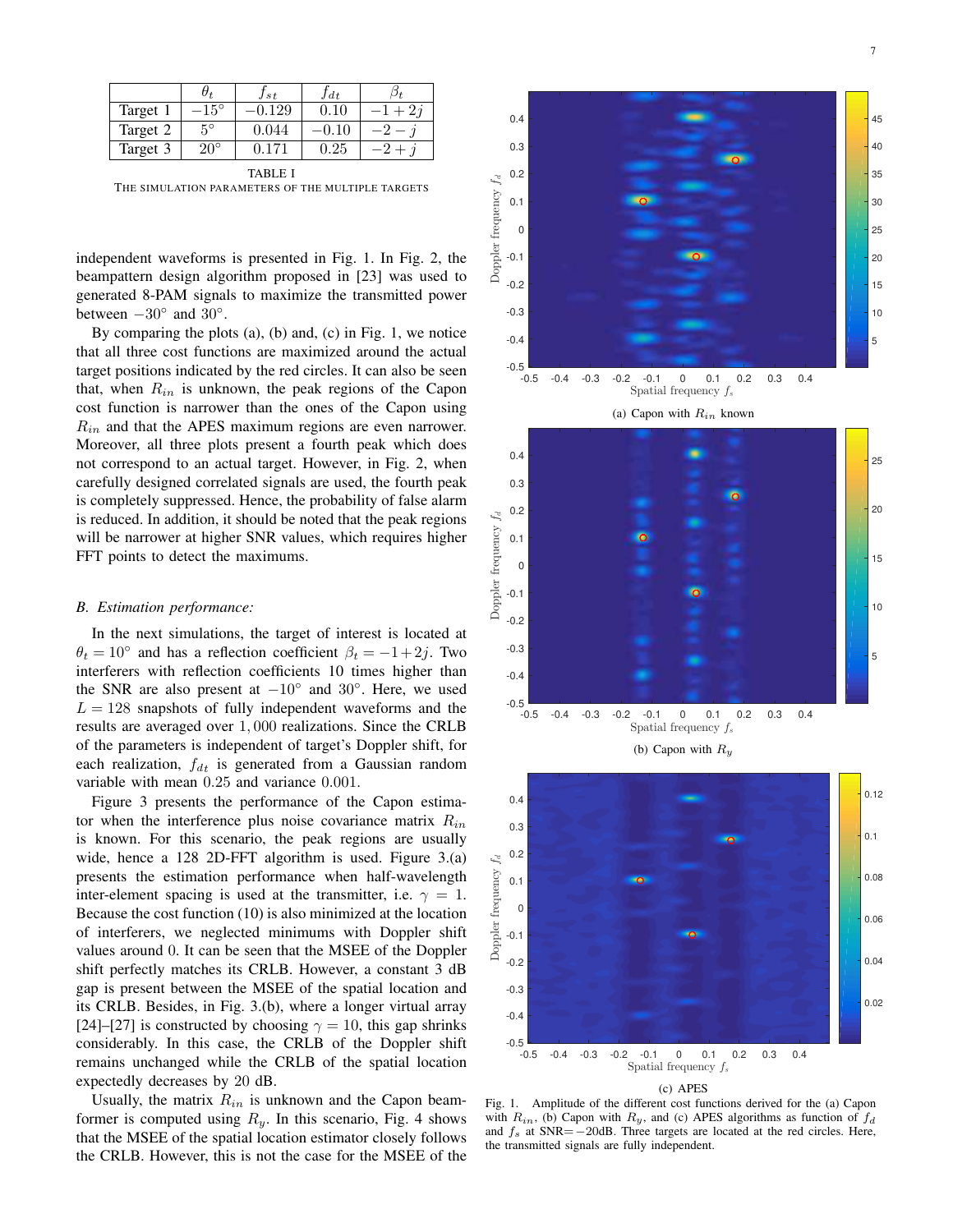|          |              | Jst   | $J_{dt}$ |  |
|----------|--------------|-------|----------|--|
| Target 1 | $15^{\circ}$ | 29    | $0.10\,$ |  |
| Target 2 | $5^\circ$    | 0.044 |          |  |
| Target 3 | $20^{\circ}$ |       | 0.25     |  |

TABLE I THE SIMULATION PARAMETERS OF THE MULTIPLE TARGETS

independent waveforms is presented in Fig. 1. In Fig. 2, the beampattern design algorithm proposed in [23] was used to generated 8-PAM signals to maximize the transmitted power between  $-30^\circ$  and  $30^\circ$ .

By comparing the plots (a), (b) and, (c) in Fig. 1, we notice that all three cost functions are maximized around the actual target positions indicated by the red circles. It can also be seen that, when  $R_{in}$  is unknown, the peak regions of the Capon cost function is narrower than the ones of the Capon using  $R_{in}$  and that the APES maximum regions are even narrower. Moreover, all three plots present a fourth peak which does not correspond to an actual target. However, in Fig. 2, when carefully designed correlated signals are used, the fourth peak is completely suppressed. Hence, the probability of false alarm is reduced. In addition, it should be noted that the peak regions will be narrower at higher SNR values, which requires higher FFT points to detect the maximums.

# *B. Estimation performance:*

In the next simulations, the target of interest is located at  $\theta_t = 10^\circ$  and has a reflection coefficient  $\beta_t = -1 + 2j$ . Two interferers with reflection coefficients 10 times higher than the SNR are also present at  $-10°$  and  $30°$ . Here, we used  $L = 128$  snapshots of fully independent waveforms and the results are averaged over 1, 000 realizations. Since the CRLB of the parameters is independent of target's Doppler shift, for each realization,  $f_{dt}$  is generated from a Gaussian random variable with mean 0.25 and variance 0.001.

Figure 3 presents the performance of the Capon estimator when the interference plus noise covariance matrix  $R_{in}$ is known. For this scenario, the peak regions are usually wide, hence a 128 2D-FFT algorithm is used. Figure 3.(a) presents the estimation performance when half-wavelength inter-element spacing is used at the transmitter, i.e.  $\gamma = 1$ . Because the cost function (10) is also minimized at the location of interferers, we neglected minimums with Doppler shift values around 0. It can be seen that the MSEE of the Doppler shift perfectly matches its CRLB. However, a constant 3 dB gap is present between the MSEE of the spatial location and its CRLB. Besides, in Fig. 3.(b), where a longer virtual array [24]–[27] is constructed by choosing  $\gamma = 10$ , this gap shrinks considerably. In this case, the CRLB of the Doppler shift remains unchanged while the CRLB of the spatial location expectedly decreases by 20 dB.

Usually, the matrix  $R_{in}$  is unknown and the Capon beamformer is computed using  $R_y$ . In this scenario, Fig. 4 shows that the MSEE of the spatial location estimator closely follows the CRLB. However, this is not the case for the MSEE of the



(c) APES

Fig. 1. Amplitude of the different cost functions derived for the (a) Capon with  $R_{in}$ , (b) Capon with  $R_y$ , and (c) APES algorithms as function of  $f_d$ and  $f_s$  at SNR= $-20$ dB. Three targets are located at the red circles. Here, the transmitted signals are fully independent.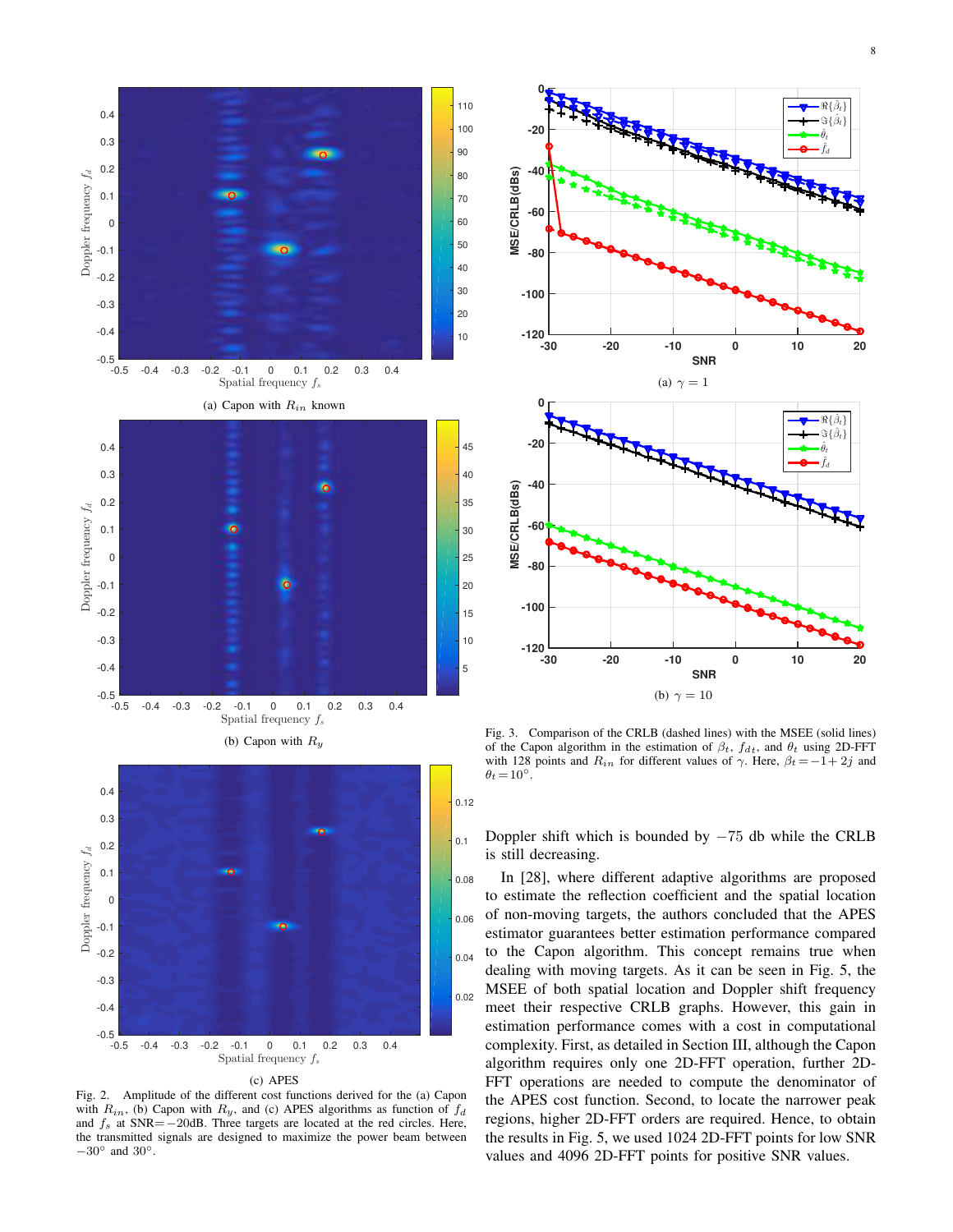

8







Fig. 2. Amplitude of the different cost functions derived for the (a) Capon with  $R_{in}$ , (b) Capon with  $R_y$ , and (c) APES algorithms as function of  $f_d$ and  $f_s$  at SNR= $-20$ dB. Three targets are located at the red circles. Here, the transmitted signals are designed to maximize the power beam between  $-30^\circ$  and  $30^\circ$ .



Fig. 3. Comparison of the CRLB (dashed lines) with the MSEE (solid lines) of the Capon algorithm in the estimation of  $\beta_t$ ,  $f_{d_t}$ , and  $\theta_t$  using 2D-FFT with 128 points and  $R_{in}$  for different values of  $\gamma$ . Here,  $\beta_t = -1 + 2j$  and  $\theta_t = 10^\circ$ .

Doppler shift which is bounded by  $-75$  db while the CRLB is still decreasing.

In [28], where different adaptive algorithms are proposed to estimate the reflection coefficient and the spatial location of non-moving targets, the authors concluded that the APES estimator guarantees better estimation performance compared to the Capon algorithm. This concept remains true when dealing with moving targets. As it can be seen in Fig. 5, the MSEE of both spatial location and Doppler shift frequency meet their respective CRLB graphs. However, this gain in estimation performance comes with a cost in computational complexity. First, as detailed in Section III, although the Capon algorithm requires only one 2D-FFT operation, further 2D-FFT operations are needed to compute the denominator of the APES cost function. Second, to locate the narrower peak regions, higher 2D-FFT orders are required. Hence, to obtain the results in Fig. 5, we used 1024 2D-FFT points for low SNR values and 4096 2D-FFT points for positive SNR values.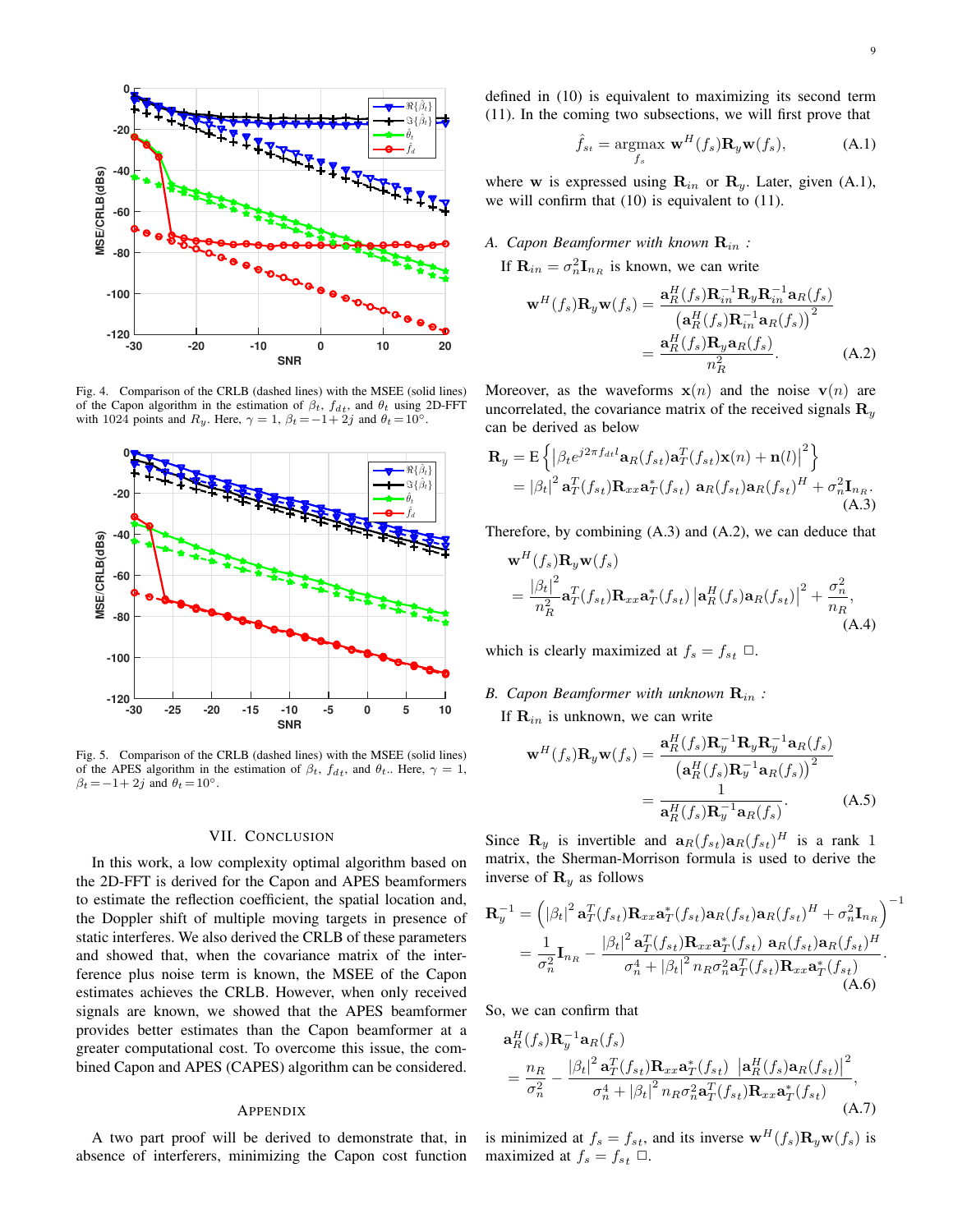

Fig. 4. Comparison of the CRLB (dashed lines) with the MSEE (solid lines) of the Capon algorithm in the estimation of  $\beta_t$ ,  $f_{dt}$ , and  $\theta_t$  using 2D-FFT with 1024 points and  $R_y$ . Here,  $\gamma = 1$ ,  $\beta_t = -1 + 2j$  and  $\theta_t = 10^\circ$ .



Fig. 5. Comparison of the CRLB (dashed lines) with the MSEE (solid lines) of the APES algorithm in the estimation of  $\beta_t$ ,  $f_{dt}$ , and  $\theta_t$ . Here,  $\gamma = 1$ ,  $\beta_t = -1 + 2j$  and  $\theta_t = 10^\circ$ .

## VII. CONCLUSION

In this work, a low complexity optimal algorithm based on the 2D-FFT is derived for the Capon and APES beamformers to estimate the reflection coefficient, the spatial location and, the Doppler shift of multiple moving targets in presence of static interferes. We also derived the CRLB of these parameters and showed that, when the covariance matrix of the interference plus noise term is known, the MSEE of the Capon estimates achieves the CRLB. However, when only received signals are known, we showed that the APES beamformer provides better estimates than the Capon beamformer at a greater computational cost. To overcome this issue, the combined Capon and APES (CAPES) algorithm can be considered.

#### APPENDIX

A two part proof will be derived to demonstrate that, in absence of interferers, minimizing the Capon cost function defined in (10) is equivalent to maximizing its second term (11). In the coming two subsections, we will first prove that

$$
\hat{f}_{st} = \underset{f_s}{\text{argmax }} \mathbf{w}^H(f_s) \mathbf{R}_y \mathbf{w}(f_s), \tag{A.1}
$$

where w is expressed using  $\mathbf{R}_{in}$  or  $\mathbf{R}_{y}$ . Later, given (A.1), we will confirm that (10) is equivalent to (11).

# *A. Capon Beamformer with known* Rin *:*

If  $\mathbf{R}_{in} = \sigma_n^2 \mathbf{I}_{n_R}$  is known, we can write

$$
\mathbf{w}^{H}(f_{s})\mathbf{R}_{y}\mathbf{w}(f_{s}) = \frac{\mathbf{a}_{R}^{H}(f_{s})\mathbf{R}_{in}^{-1}\mathbf{R}_{y}\mathbf{R}_{in}^{-1}\mathbf{a}_{R}(f_{s})}{\left(\mathbf{a}_{R}^{H}(f_{s})\mathbf{R}_{in}^{-1}\mathbf{a}_{R}(f_{s})\right)^{2}}
$$

$$
= \frac{\mathbf{a}_{R}^{H}(f_{s})\mathbf{R}_{y}\mathbf{a}_{R}(f_{s})}{n_{R}^{2}}.
$$
(A.2)

Moreover, as the waveforms  $x(n)$  and the noise  $v(n)$  are uncorrelated, the covariance matrix of the received signals  $\mathbf{R}_y$ can be derived as below

$$
\mathbf{R}_{y} = \mathbf{E} \left\{ \left| \beta_{t} e^{j2\pi f_{dt} l} \mathbf{a}_{R}(f_{st}) \mathbf{a}_{T}^{T}(f_{st}) \mathbf{x}(n) + \mathbf{n}(l) \right|^{2} \right\}
$$
  
=  $|\beta_{t}|^{2} \mathbf{a}_{T}^{T}(f_{st}) \mathbf{R}_{xx} \mathbf{a}_{T}^{*}(f_{st}) \mathbf{a}_{R}(f_{st}) \mathbf{a}_{R}(f_{st})^{H} + \sigma_{n}^{2} \mathbf{I}_{n_{R}}.$   
(A.3)

Therefore, by combining (A.3) and (A.2), we can deduce that

$$
\mathbf{w}^{H}(f_{s})\mathbf{R}_{y}\mathbf{w}(f_{s})
$$
  
=  $\frac{|\beta_{t}|^{2}}{n_{R}^{2}}\mathbf{a}_{T}^{T}(f_{s_{t}})\mathbf{R}_{xx}\mathbf{a}_{T}^{*}(f_{s_{t}})\left|\mathbf{a}_{R}^{H}(f_{s})\mathbf{a}_{R}(f_{s_{t}})\right|^{2} + \frac{\sigma_{n}^{2}}{n_{R}},$   
(A.4)

which is clearly maximized at  $f_s = f_{st} \ \Box$ .

# *B. Capon Beamformer with unknown* Rin *:*

If  $\mathbf{R}_{in}$  is unknown, we can write

$$
\mathbf{w}^{H}(f_{s})\mathbf{R}_{y}\mathbf{w}(f_{s}) = \frac{\mathbf{a}_{R}^{H}(f_{s})\mathbf{R}_{y}^{-1}\mathbf{R}_{y}\mathbf{R}_{y}^{-1}\mathbf{a}_{R}(f_{s})}{\left(\mathbf{a}_{R}^{H}(f_{s})\mathbf{R}_{y}^{-1}\mathbf{a}_{R}(f_{s})\right)^{2}}
$$

$$
= \frac{1}{\mathbf{a}_{R}^{H}(f_{s})\mathbf{R}_{y}^{-1}\mathbf{a}_{R}(f_{s})}.
$$
(A.5)

Since  $\mathbf{R}_y$  is invertible and  $\mathbf{a}_R(f_{st})\mathbf{a}_R(f_{st})^H$  is a rank 1 matrix, the Sherman-Morrison formula is used to derive the inverse of  $\mathbf{R}_y$  as follows

$$
\mathbf{R}_{y}^{-1} = \left( |\beta_{t}|^{2} \mathbf{a}_{T}^{T}(f_{st}) \mathbf{R}_{xx} \mathbf{a}_{T}^{*}(f_{st}) \mathbf{a}_{R}(f_{st}) \mathbf{a}_{R}(f_{st})^{H} + \sigma_{n}^{2} \mathbf{I}_{n_{R}} \right)^{-1}
$$

$$
= \frac{1}{\sigma_{n}^{2}} \mathbf{I}_{n_{R}} - \frac{|\beta_{t}|^{2} \mathbf{a}_{T}^{T}(f_{st}) \mathbf{R}_{xx} \mathbf{a}_{T}^{*}(f_{st}) \mathbf{a}_{R}(f_{st}) \mathbf{a}_{R}(f_{st})^{H}}{\sigma_{n}^{4} + |\beta_{t}|^{2} n_{R} \sigma_{n}^{2} \mathbf{a}_{T}^{T}(f_{st}) \mathbf{R}_{xx} \mathbf{a}_{T}^{*}(f_{st})}.
$$
(A.6)

So, we can confirm that

$$
\mathbf{a}_{R}^{H}(f_{s})\mathbf{R}_{y}^{-1}\mathbf{a}_{R}(f_{s})
$$
\n
$$
=\frac{n_{R}}{\sigma_{n}^{2}}-\frac{|\beta_{t}|^{2}\mathbf{a}_{T}^{T}(f_{st})\mathbf{R}_{xx}\mathbf{a}_{T}^{*}(f_{st})|\mathbf{a}_{R}^{H}(f_{s})\mathbf{a}_{R}(f_{st})|^{2}}{\sigma_{n}^{4}+|\beta_{t}|^{2}n_{R}\sigma_{n}^{2}\mathbf{a}_{T}^{T}(f_{st})\mathbf{R}_{xx}\mathbf{a}_{T}^{*}(f_{st})},
$$
\n(A.7)

is minimized at  $f_s = f_{st}$ , and its inverse  $\mathbf{w}^H(f_s) \mathbf{R}_y \mathbf{w}(f_s)$  is maximized at  $f_s = f_{st} \ \Box$ .